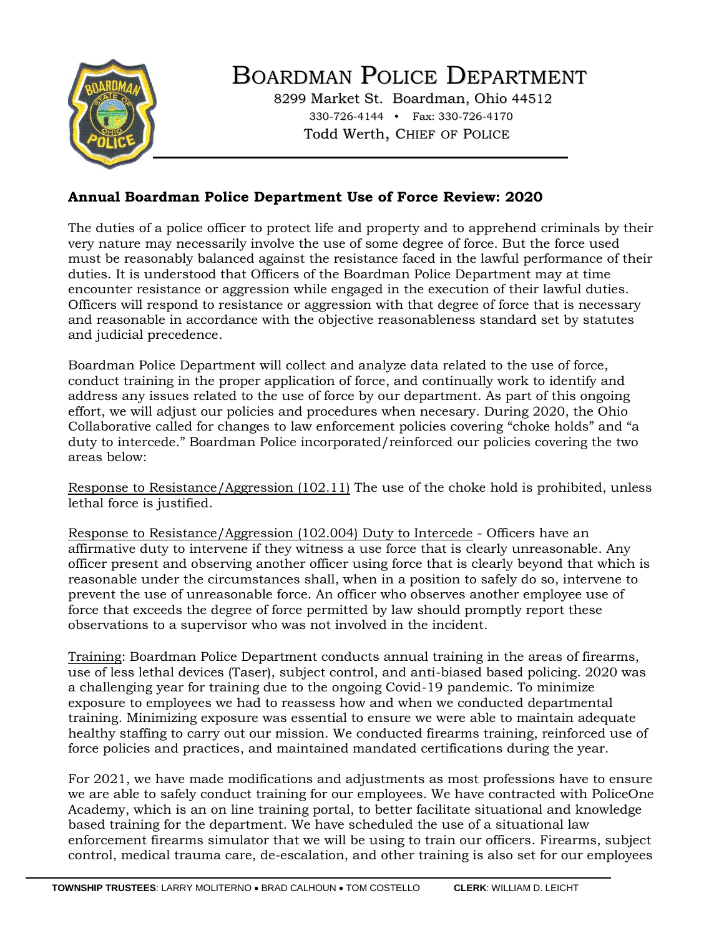

BOARDMAN POLICE DEPARTMENT

8299 Market St. Boardman, Ohio 44512 330-726-4144 • Fax: 330-726-4170 Todd Werth, CHIEF OF POLICE

## **Annual Boardman Police Department Use of Force Review: 2020**

The duties of a police officer to protect life and property and to apprehend criminals by their very nature may necessarily involve the use of some degree of force. But the force used must be reasonably balanced against the resistance faced in the lawful performance of their duties. It is understood that Officers of the Boardman Police Department may at time encounter resistance or aggression while engaged in the execution of their lawful duties. Officers will respond to resistance or aggression with that degree of force that is necessary and reasonable in accordance with the objective reasonableness standard set by statutes and judicial precedence.

Boardman Police Department will collect and analyze data related to the use of force, conduct training in the proper application of force, and continually work to identify and address any issues related to the use of force by our department. As part of this ongoing effort, we will adjust our policies and procedures when necesary. During 2020, the Ohio Collaborative called for changes to law enforcement policies covering "choke holds" and "a duty to intercede." Boardman Police incorporated/reinforced our policies covering the two areas below:

Response to Resistance/Aggression (102.11) The use of the choke hold is prohibited, unless lethal force is justified.

Response to Resistance/Aggression (102.004) Duty to Intercede - Officers have an affirmative duty to intervene if they witness a use force that is clearly unreasonable. Any officer present and observing another officer using force that is clearly beyond that which is reasonable under the circumstances shall, when in a position to safely do so, intervene to prevent the use of unreasonable force. An officer who observes another employee use of force that exceeds the degree of force permitted by law should promptly report these observations to a supervisor who was not involved in the incident.

Training: Boardman Police Department conducts annual training in the areas of firearms, use of less lethal devices (Taser), subject control, and anti-biased based policing. 2020 was a challenging year for training due to the ongoing Covid-19 pandemic. To minimize exposure to employees we had to reassess how and when we conducted departmental training. Minimizing exposure was essential to ensure we were able to maintain adequate healthy staffing to carry out our mission. We conducted firearms training, reinforced use of force policies and practices, and maintained mandated certifications during the year.

For 2021, we have made modifications and adjustments as most professions have to ensure we are able to safely conduct training for our employees. We have contracted with PoliceOne Academy, which is an on line training portal, to better facilitate situational and knowledge based training for the department. We have scheduled the use of a situational law enforcement firearms simulator that we will be using to train our officers. Firearms, subject control, medical trauma care, de-escalation, and other training is also set for our employees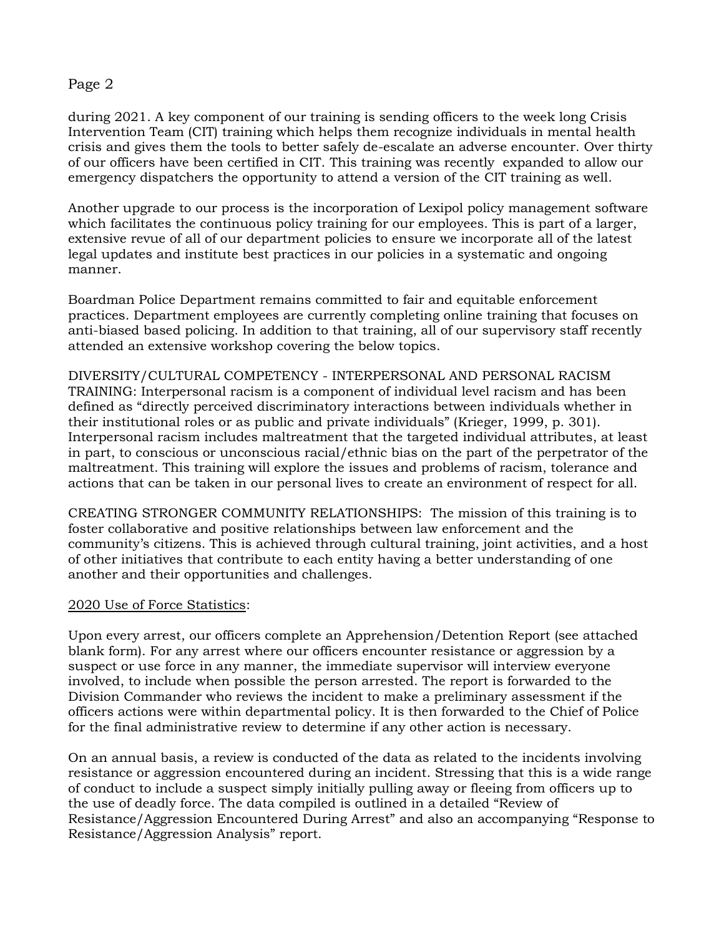## Page 2

during 2021. A key component of our training is sending officers to the week long Crisis Intervention Team (CIT) training which helps them recognize individuals in mental health crisis and gives them the tools to better safely de-escalate an adverse encounter. Over thirty of our officers have been certified in CIT. This training was recently expanded to allow our emergency dispatchers the opportunity to attend a version of the CIT training as well.

Another upgrade to our process is the incorporation of Lexipol policy management software which facilitates the continuous policy training for our employees. This is part of a larger, extensive revue of all of our department policies to ensure we incorporate all of the latest legal updates and institute best practices in our policies in a systematic and ongoing manner.

Boardman Police Department remains committed to fair and equitable enforcement practices. Department employees are currently completing online training that focuses on anti-biased based policing. In addition to that training, all of our supervisory staff recently attended an extensive workshop covering the below topics.

DIVERSITY/CULTURAL COMPETENCY - INTERPERSONAL AND PERSONAL RACISM TRAINING: Interpersonal racism is a component of individual level racism and has been defined as "directly perceived discriminatory interactions between individuals whether in their institutional roles or as public and private individuals" (Krieger, 1999, p. 301). Interpersonal racism includes maltreatment that the targeted individual attributes, at least in part, to conscious or unconscious racial/ethnic bias on the part of the perpetrator of the maltreatment. This training will explore the issues and problems of racism, tolerance and actions that can be taken in our personal lives to create an environment of respect for all.

CREATING STRONGER COMMUNITY RELATIONSHIPS: The mission of this training is to foster collaborative and positive relationships between law enforcement and the community's citizens. This is achieved through cultural training, joint activities, and a host of other initiatives that contribute to each entity having a better understanding of one another and their opportunities and challenges.

## 2020 Use of Force Statistics:

Upon every arrest, our officers complete an Apprehension/Detention Report (see attached blank form). For any arrest where our officers encounter resistance or aggression by a suspect or use force in any manner, the immediate supervisor will interview everyone involved, to include when possible the person arrested. The report is forwarded to the Division Commander who reviews the incident to make a preliminary assessment if the officers actions were within departmental policy. It is then forwarded to the Chief of Police for the final administrative review to determine if any other action is necessary.

On an annual basis, a review is conducted of the data as related to the incidents involving resistance or aggression encountered during an incident. Stressing that this is a wide range of conduct to include a suspect simply initially pulling away or fleeing from officers up to the use of deadly force. The data compiled is outlined in a detailed "Review of Resistance/Aggression Encountered During Arrest" and also an accompanying "Response to Resistance/Aggression Analysis" report.